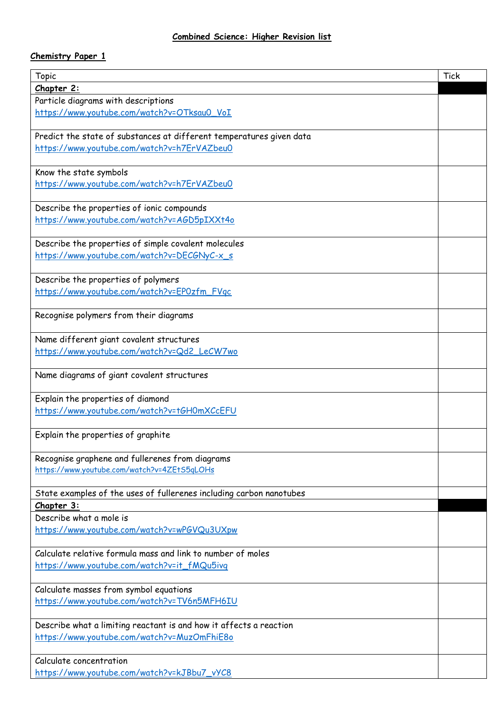## **Chemistry Paper 1**

| <b>Topic</b>                                                         | <b>Tick</b> |
|----------------------------------------------------------------------|-------------|
| Chapter 2:                                                           |             |
| Particle diagrams with descriptions                                  |             |
| https://www.youtube.com/watch?v=OTksau0_VoI                          |             |
|                                                                      |             |
| Predict the state of substances at different temperatures given data |             |
| https://www.youtube.com/watch?v=h7ErVAZbeu0                          |             |
|                                                                      |             |
| Know the state symbols                                               |             |
| https://www.youtube.com/watch?v=h7ErVAZbeu0                          |             |
|                                                                      |             |
| Describe the properties of ionic compounds                           |             |
| https://www.youtube.com/watch?v=AGD5pIXXt4o                          |             |
|                                                                      |             |
| Describe the properties of simple covalent molecules                 |             |
| https://www.youtube.com/watch?v=DECGNyC-x_s                          |             |
|                                                                      |             |
| Describe the properties of polymers                                  |             |
| https://www.youtube.com/watch?v=EP0zfm_FVqc                          |             |
|                                                                      |             |
| Recognise polymers from their diagrams                               |             |
|                                                                      |             |
| Name different giant covalent structures                             |             |
| https://www.youtube.com/watch?v=Qd2_LeCW7wo                          |             |
|                                                                      |             |
| Name diagrams of giant covalent structures                           |             |
|                                                                      |             |
| Explain the properties of diamond                                    |             |
| https://www.youtube.com/watch?v=tGH0mXCcEFU                          |             |
|                                                                      |             |
| Explain the properties of graphite                                   |             |
|                                                                      |             |
| Recognise graphene and fullerenes from diagrams                      |             |
| https://www.youtube.com/watch?v=4ZEtS5qLOHs                          |             |
|                                                                      |             |
| State examples of the uses of fullerenes including carbon nanotubes  |             |
| Chapter 3:                                                           |             |
| Describe what a mole is                                              |             |
| https://www.youtube.com/watch?v=wPGVQu3UXpw                          |             |
|                                                                      |             |
| Calculate relative formula mass and link to number of moles          |             |
| https://www.youtube.com/watch?v=it_fMQu5ivq                          |             |
|                                                                      |             |
| Calculate masses from symbol equations                               |             |
| https://www.youtube.com/watch?v=TV6n5MFH6IU                          |             |
|                                                                      |             |
| Describe what a limiting reactant is and how it affects a reaction   |             |
| https://www.youtube.com/watch?v=MuzOmFhiE8o                          |             |
|                                                                      |             |
| Calculate concentration                                              |             |
| https://www.youtube.com/watch?v=kJBbu7_vYC8                          |             |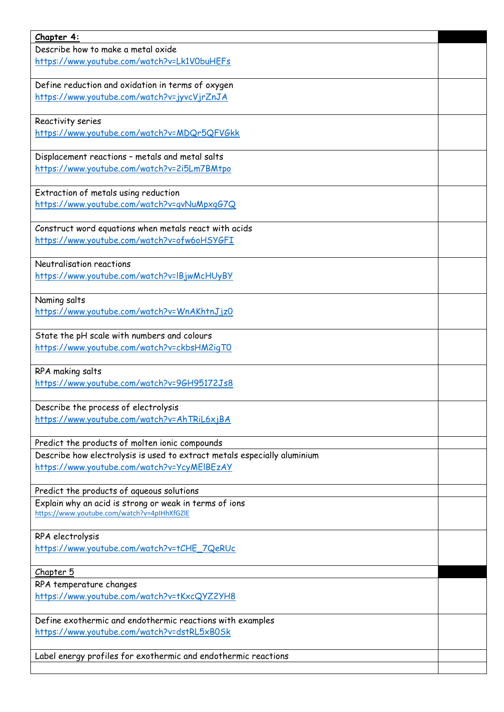| Chapter 4:                                                               |  |
|--------------------------------------------------------------------------|--|
| Describe how to make a metal oxide                                       |  |
| https://www.youtube.com/watch?v=Lk1V0buHEFs                              |  |
|                                                                          |  |
| Define reduction and oxidation in terms of oxygen                        |  |
| https://www.youtube.com/watch?v=jyvcVjrZnJA                              |  |
|                                                                          |  |
| Reactivity series                                                        |  |
| https://www.youtube.com/watch?v=MDQr5QFVGkk                              |  |
|                                                                          |  |
| Displacement reactions - metals and metal salts                          |  |
| https://www.youtube.com/watch?v=2i5Lm7BMtpo                              |  |
|                                                                          |  |
| Extraction of metals using reduction                                     |  |
| https://www.youtube.com/watch?v=gvNuMpxgG7Q                              |  |
|                                                                          |  |
| Construct word equations when metals react with acids                    |  |
| https://www.youtube.com/watch?v=ofw6oHSYGFI                              |  |
|                                                                          |  |
| Neutralisation reactions                                                 |  |
| https://www.youtube.com/watch?v=IBjwMcHUyBY                              |  |
|                                                                          |  |
|                                                                          |  |
| Naming salts<br>https://www.youtube.com/watch?v=WnAKhtnJjz0              |  |
|                                                                          |  |
| State the pH scale with numbers and colours                              |  |
| https://www.youtube.com/watch?v=ckbsHM2igTO                              |  |
|                                                                          |  |
| RPA making salts                                                         |  |
| https://www.youtube.com/watch?v=9GH95172Js8                              |  |
|                                                                          |  |
| Describe the process of electrolysis                                     |  |
| https://www.youtube.com/watch?v=AhTRiL6xjBA                              |  |
|                                                                          |  |
| Predict the products of molten ionic compounds                           |  |
| Describe how electrolysis is used to extract metals especially aluminium |  |
| https://www.youtube.com/watch?v=YcyMEIBEzAY                              |  |
|                                                                          |  |
| Predict the products of aqueous solutions                                |  |
| Explain why an acid is strong or weak in terms of ions                   |  |
| https://www.youtube.com/watch?v=4pIHhXfGZIE                              |  |
|                                                                          |  |
| RPA electrolysis                                                         |  |
| https://www.youtube.com/watch?v=tCHE_7QeRUc                              |  |
|                                                                          |  |
| Chapter 5                                                                |  |
| RPA temperature changes                                                  |  |
| https://www.youtube.com/watch?v=tKxcQYZ2YH8                              |  |
|                                                                          |  |
| Define exothermic and endothermic reactions with examples                |  |
| https://www.youtube.com/watch?v=dstRL5xB0Sk                              |  |
|                                                                          |  |
| Label energy profiles for exothermic and endothermic reactions           |  |
|                                                                          |  |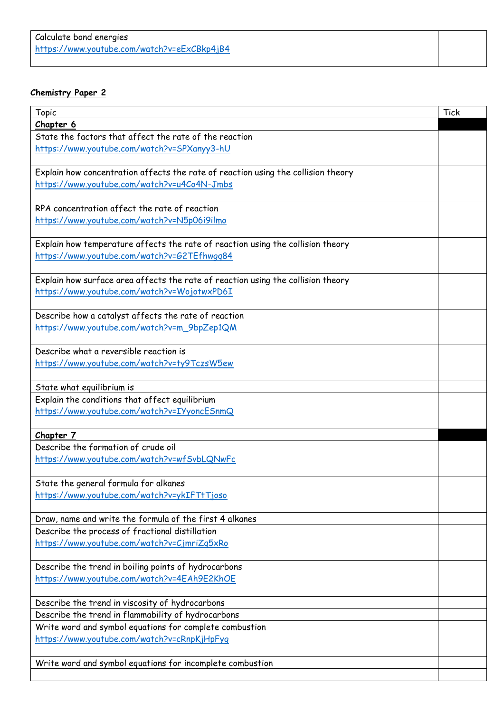## **Chemistry Paper 2**

| <b>Topic</b>                                                                      | Tick |
|-----------------------------------------------------------------------------------|------|
| Chapter 6                                                                         |      |
| State the factors that affect the rate of the reaction                            |      |
| https://www.youtube.com/watch?v=SPXanyy3-hU                                       |      |
|                                                                                   |      |
| Explain how concentration affects the rate of reaction using the collision theory |      |
| https://www.youtube.com/watch?v=u4Co4N-Jmbs                                       |      |
|                                                                                   |      |
| RPA concentration affect the rate of reaction                                     |      |
| https://www.youtube.com/watch?v=N5p06i9ilmo                                       |      |
|                                                                                   |      |
| Explain how temperature affects the rate of reaction using the collision theory   |      |
| https://www.youtube.com/watch?v=G2TEfhwqq84                                       |      |
|                                                                                   |      |
| Explain how surface area affects the rate of reaction using the collision theory  |      |
| https://www.youtube.com/watch?v=WojotwxPD6I                                       |      |
|                                                                                   |      |
| Describe how a catalyst affects the rate of reaction                              |      |
| https://www.youtube.com/watch?v=m_9bpZep1QM                                       |      |
|                                                                                   |      |
| Describe what a reversible reaction is                                            |      |
| https://www.youtube.com/watch?v=ty9TczsW5ew                                       |      |
|                                                                                   |      |
| State what equilibrium is                                                         |      |
| Explain the conditions that affect equilibrium                                    |      |
| https://www.youtube.com/watch?v=IYyoncESnmQ                                       |      |
| Chapter 7                                                                         |      |
| Describe the formation of crude oil                                               |      |
| https://www.youtube.com/watch?v=wfSvbLQNwFc                                       |      |
|                                                                                   |      |
| State the general formula for alkanes                                             |      |
| https://www.youtube.com/watch?v=ykIFTtTjoso                                       |      |
|                                                                                   |      |
| Draw, name and write the formula of the first 4 alkanes                           |      |
| Describe the process of fractional distillation                                   |      |
| https://www.youtube.com/watch?v=CjmriZq5xRo                                       |      |
|                                                                                   |      |
| Describe the trend in boiling points of hydrocarbons                              |      |
| https://www.youtube.com/watch?v=4EAh9E2KhOE                                       |      |
|                                                                                   |      |
| Describe the trend in viscosity of hydrocarbons                                   |      |
| Describe the trend in flammability of hydrocarbons                                |      |
| Write word and symbol equations for complete combustion                           |      |
| https://www.youtube.com/watch?v=cRnpKjHpFyq                                       |      |
|                                                                                   |      |
| Write word and symbol equations for incomplete combustion                         |      |
|                                                                                   |      |